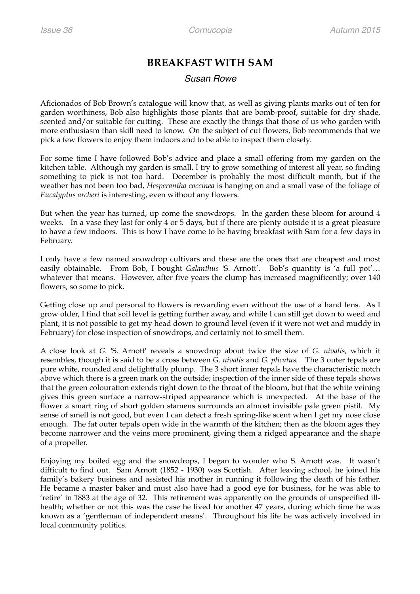## **BREAKFAST WITH SAM**

## *Susan Rowe*

Aficionados of Bob Brown's catalogue will know that, as well as giving plants marks out of ten for garden worthiness, Bob also highlights those plants that are bomb-proof, suitable for dry shade, scented and/or suitable for cutting. These are exactly the things that those of us who garden with more enthusiasm than skill need to know. On the subject of cut flowers, Bob recommends that we pick a few flowers to enjoy them indoors and to be able to inspect them closely.

For some time I have followed Bob's advice and place a small offering from my garden on the kitchen table. Although my garden is small, I try to grow something of interest all year, so finding something to pick is not too hard. December is probably the most difficult month, but if the weather has not been too bad, *Hesperantha coccinea* is hanging on and a small vase of the foliage of *Eucalyptus archeri* is interesting, even without any flowers.

But when the year has turned, up come the snowdrops. In the garden these bloom for around 4 weeks. In a vase they last for only 4 or 5 days, but if there are plenty outside it is a great pleasure to have a few indoors. This is how I have come to be having breakfast with Sam for a few days in February.

I only have a few named snowdrop cultivars and these are the ones that are cheapest and most easily obtainable. From Bob, I bought *Galanthus* 'S. Arnott'. Bob's quantity is 'a full pot'… whatever that means. However, after five years the clump has increased magnificently; over 140 flowers, so some to pick.

Getting close up and personal to flowers is rewarding even without the use of a hand lens. As I grow older, I find that soil level is getting further away, and while I can still get down to weed and plant, it is not possible to get my head down to ground level (even if it were not wet and muddy in February) for close inspection of snowdrops, and certainly not to smell them.

A close look at *G.* 'S. Arnott' reveals a snowdrop about twice the size of *G. nivalis,* which it resembles, though it is said to be a cross between *G. nivalis* and *G. plicatus.* The 3 outer tepals are pure white, rounded and delightfully plump. The 3 short inner tepals have the characteristic notch above which there is a green mark on the outside; inspection of the inner side of these tepals shows that the green colouration extends right down to the throat of the bloom, but that the white veining gives this green surface a narrow-striped appearance which is unexpected. At the base of the flower a smart ring of short golden stamens surrounds an almost invisible pale green pistil. My sense of smell is not good, but even I can detect a fresh spring-like scent when I get my nose close enough. The fat outer tepals open wide in the warmth of the kitchen; then as the bloom ages they become narrower and the veins more prominent, giving them a ridged appearance and the shape of a propeller.

Enjoying my boiled egg and the snowdrops, I began to wonder who S. Arnott was. It wasn't difficult to find out. Sam Arnott (1852 - 1930) was Scottish. After leaving school, he joined his family's bakery business and assisted his mother in running it following the death of his father. He became a master baker and must also have had a good eye for business, for he was able to 'retire' in 1883 at the age of 32. This retirement was apparently on the grounds of unspecified illhealth; whether or not this was the case he lived for another 47 years, during which time he was known as a 'gentleman of independent means'. Throughout his life he was actively involved in local community politics.